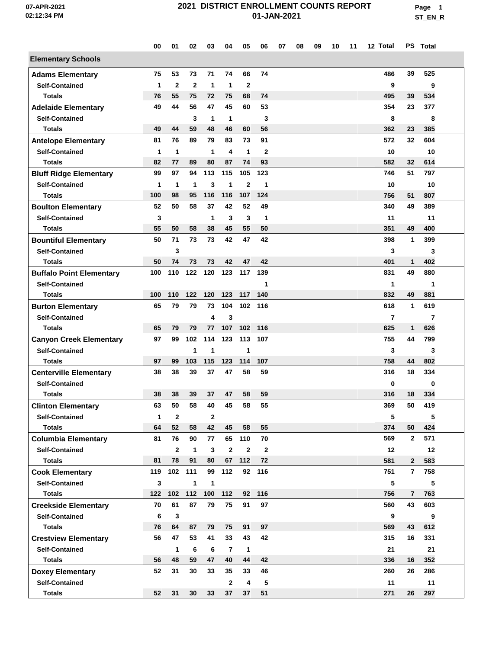**Page 1 ST\_EN\_R**

|                                 | 00          | 01           | 02           | 03           | 04           | 05           | 06           | 07 | 08 | 09 | 10 | 11 | 12 Total       |                | PS Total |
|---------------------------------|-------------|--------------|--------------|--------------|--------------|--------------|--------------|----|----|----|----|----|----------------|----------------|----------|
| <b>Elementary Schools</b>       |             |              |              |              |              |              |              |    |    |    |    |    |                |                |          |
| <b>Adams Elementary</b>         | 75          | 53           | 73           | 71           | 74           | 66           | 74           |    |    |    |    |    | 486            | 39             | 525      |
| <b>Self-Contained</b>           | $\mathbf 1$ | $\mathbf{2}$ | $\mathbf{2}$ | $\mathbf 1$  | 1            | $\mathbf{2}$ |              |    |    |    |    |    | 9              |                | 9        |
| <b>Totals</b>                   | 76          | 55           | 75           | 72           | 75           | 68           | 74           |    |    |    |    |    | 495            | 39             | 534      |
| <b>Adelaide Elementary</b>      | 49          | 44           | 56           | 47           | 45           | 60           | 53           |    |    |    |    |    | 354            | 23             | 377      |
| <b>Self-Contained</b>           |             |              | 3            | 1            | 1            |              | 3            |    |    |    |    |    | 8              |                | 8        |
| <b>Totals</b>                   | 49          | 44           | 59           | 48           | 46           | 60           | 56           |    |    |    |    |    | 362            | 23             | 385      |
| <b>Antelope Elementary</b>      | 81          | 76           | 89           | 79           | 83           | 73           | 91           |    |    |    |    |    | 572            | 32             | 604      |
| <b>Self-Contained</b>           | $\mathbf 1$ | 1            |              | 1            | 4            | $\mathbf 1$  | $\mathbf{2}$ |    |    |    |    |    | 10             |                | 10       |
| <b>Totals</b>                   | 82          | 77           | 89           | 80           | 87           | 74           | 93           |    |    |    |    |    | 582            | 32             | 614      |
| <b>Bluff Ridge Elementary</b>   | 99          | 97           | 94           | 113          | 115          | 105          | 123          |    |    |    |    |    | 746            | 51             | 797      |
| <b>Self-Contained</b>           | 1           | $\mathbf{1}$ | 1            | 3            | 1            | $\mathbf{2}$ | 1            |    |    |    |    |    | 10             |                | 10       |
| <b>Totals</b>                   | 100         | 98           | 95           | 116          | 116          | 107          | 124          |    |    |    |    |    | 756            | 51             | 807      |
| <b>Boulton Elementary</b>       | 52          | 50           | 58           | 37           | 42           | 52           | 49           |    |    |    |    |    | 340            | 49             | 389      |
| <b>Self-Contained</b>           | 3           |              |              | 1            | 3            | 3            | 1            |    |    |    |    |    | 11             |                | 11       |
| <b>Totals</b>                   | 55          | 50           | 58           | 38           | 45           | 55           | 50           |    |    |    |    |    | 351            | 49             | 400      |
| <b>Bountiful Elementary</b>     | 50          | 71           | 73           | 73           | 42           | 47           | 42           |    |    |    |    |    | 398            | 1              | 399      |
| <b>Self-Contained</b>           |             | 3            |              |              |              |              |              |    |    |    |    |    | 3              |                | 3        |
| <b>Totals</b>                   | 50          | 74           | 73           | 73           | 42           | 47           | 42           |    |    |    |    |    | 401            | $\mathbf{1}$   | 402      |
| <b>Buffalo Point Elementary</b> | 100         | 110          | 122          | 120          | 123          | 117          | 139          |    |    |    |    |    | 831            | 49             | 880      |
| <b>Self-Contained</b>           |             |              |              |              |              |              | 1            |    |    |    |    |    | 1              |                | 1        |
| <b>Totals</b>                   | 100         | 110          | 122          | 120          | 123          | 117          | 140          |    |    |    |    |    | 832            | 49             | 881      |
| <b>Burton Elementary</b>        | 65          | 79           | 79           | 73           | 104          | 102          | 116          |    |    |    |    |    | 618            | 1              | 619      |
| <b>Self-Contained</b>           |             |              |              | 4            | 3            |              |              |    |    |    |    |    | $\overline{7}$ |                | 7        |
| <b>Totals</b>                   | 65          | 79           | 79           | 77           | 107          | 102          | 116          |    |    |    |    |    | 625            | 1              | 626      |
| <b>Canyon Creek Elementary</b>  | 97          | 99           | 102          | 114          | 123          | 113          | 107          |    |    |    |    |    | 755            | 44             | 799      |
| <b>Self-Contained</b>           |             |              | 1            | 1            |              | 1            |              |    |    |    |    |    | 3              |                | 3        |
| <b>Totals</b>                   | 97          | 99           | 103          | 115          | 123          | 114          | 107          |    |    |    |    |    | 758            | 44             | 802      |
| <b>Centerville Elementary</b>   | 38          | 38           | 39           | 37           | 47           | 58           | 59           |    |    |    |    |    | 316            | 18             | 334      |
| <b>Self-Contained</b>           |             |              |              |              |              |              |              |    |    |    |    |    | 0              |                | 0        |
| <b>Totals</b>                   | 38          | 38           | 39           | 37           | 47           | 58           | 59           |    |    |    |    |    | 316            | 18             | 334      |
| <b>Clinton Elementary</b>       | 63          | 50           | 58           | 40           | 45           | 58           | 55           |    |    |    |    |    | 369            | 50             | 419      |
| <b>Self-Contained</b>           | 1           | $\mathbf{2}$ |              | $\mathbf{2}$ |              |              |              |    |    |    |    |    | 5              |                | 5        |
| <b>Totals</b>                   | 64          | 52           | 58           | 42           | 45           | 58           | 55           |    |    |    |    |    | 374            | 50             | 424      |
| <b>Columbia Elementary</b>      | 81          | 76           | 90           | 77           |              | 65 110       | 70           |    |    |    |    |    | 569            | $\mathbf{2}$   | 571      |
| <b>Self-Contained</b>           |             | $\mathbf{2}$ | $\mathbf{1}$ | 3            | $\mathbf{2}$ | $\mathbf{2}$ | $\mathbf{2}$ |    |    |    |    |    | 12             |                | 12       |
| <b>Totals</b>                   | 81          | 78           | 91           | 80           | 67           | 112          | 72           |    |    |    |    |    | 581            | $\mathbf{2}$   | 583      |
| <b>Cook Elementary</b>          | 119         | 102          | 111          | 99           | 112          |              | 92 116       |    |    |    |    |    | 751            | $\overline{7}$ | 758      |
| <b>Self-Contained</b>           | 3           |              | $\mathbf{1}$ | 1            |              |              |              |    |    |    |    |    | 5              |                | 5        |
| <b>Totals</b>                   | 122         | 102          | 112          | 100          | 112          |              | 92 116       |    |    |    |    |    | 756            | $\overline{7}$ | 763      |
| <b>Creekside Elementary</b>     | 70          | 61           | 87           | 79           | 75           | 91           | 97           |    |    |    |    |    | 560            | 43             | 603      |
| <b>Self-Contained</b>           | 6           | 3            |              |              |              |              |              |    |    |    |    |    | 9              |                | 9        |
| <b>Totals</b>                   | 76          | 64           | 87           | 79           | 75           | 91           | 97           |    |    |    |    |    | 569            | 43             | 612      |
| <b>Crestview Elementary</b>     | 56          | 47           | 53           | 41           | 33           | 43           | 42           |    |    |    |    |    | 315            | 16             | 331      |
| <b>Self-Contained</b>           |             | $\mathbf{1}$ | 6            | 6            | 7            | $\mathbf{1}$ |              |    |    |    |    |    | 21             |                | 21       |
| <b>Totals</b>                   | 56          | 48           | 59           | 47           | 40           | 44           | 42           |    |    |    |    |    | 336            | 16             | 352      |
| <b>Doxey Elementary</b>         | 52          | 31           | 30           | 33           | 35           | 33           | 46           |    |    |    |    |    | 260            | 26             | 286      |
| <b>Self-Contained</b>           |             |              |              |              | $\mathbf{2}$ | 4            | 5            |    |    |    |    |    | 11             |                | 11       |
| <b>Totals</b>                   | 52          | 31           | 30           | 33           | 37           | 37           | 51           |    |    |    |    |    | 271            | 26             | 297      |
|                                 |             |              |              |              |              |              |              |    |    |    |    |    |                |                |          |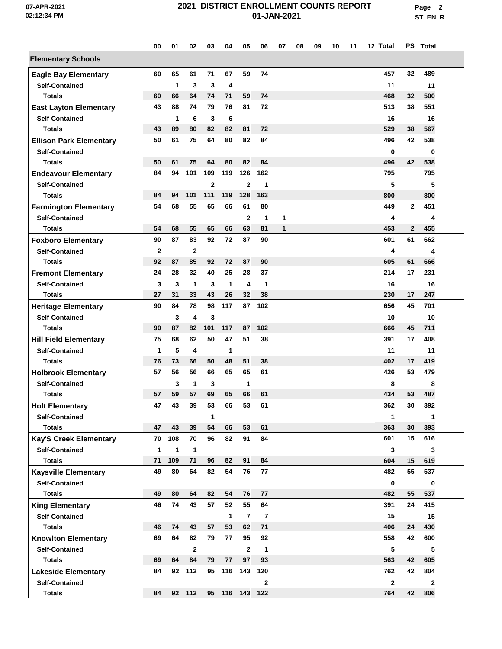**Page 2 ST\_EN\_R**

|                                                     | 00             | 01           | 02             | 03             | 04                | 05             | 06             | 07 | 08 | 09 | 10 | 11 | 12 Total     |              | PS Total     |  |
|-----------------------------------------------------|----------------|--------------|----------------|----------------|-------------------|----------------|----------------|----|----|----|----|----|--------------|--------------|--------------|--|
| <b>Elementary Schools</b>                           |                |              |                |                |                   |                |                |    |    |    |    |    |              |              |              |  |
| <b>Eagle Bay Elementary</b>                         | 60             | 65           | 61             | 71             | 67                | 59             | 74             |    |    |    |    |    | 457          | 32           | 489          |  |
| <b>Self-Contained</b>                               |                | 1            | 3              | 3              | 4                 |                |                |    |    |    |    |    | 11           |              | 11           |  |
| <b>Totals</b>                                       | 60             | 66           | 64             | 74             | 71                | 59             | 74             |    |    |    |    |    | 468          | 32           | 500          |  |
| <b>East Layton Elementary</b>                       | 43             | 88           | 74             | 79             | 76                | 81             | 72             |    |    |    |    |    | 513          | 38           | 551          |  |
| <b>Self-Contained</b>                               |                | 1            | 6              | 3              | 6                 |                |                |    |    |    |    |    | 16           |              | 16           |  |
| <b>Totals</b>                                       | 43             | 89           | 80             | 82             | 82                | 81             | 72             |    |    |    |    |    | 529          | 38           | 567          |  |
| <b>Ellison Park Elementary</b>                      | 50             | 61           | 75             | 64             | 80                | 82             | 84             |    |    |    |    |    | 496          | 42           | 538          |  |
| <b>Self-Contained</b>                               |                |              |                |                |                   |                |                |    |    |    |    |    | $\bf{0}$     |              | 0            |  |
| <b>Totals</b>                                       | 50             | 61           | 75             | 64             | 80                | 82             | 84             |    |    |    |    |    | 496          | 42           | 538          |  |
| <b>Endeavour Elementary</b>                         | 84             | 94           | 101            | 109            | 119               | 126            | 162            |    |    |    |    |    | 795          |              | 795          |  |
| <b>Self-Contained</b>                               |                |              |                | $\overline{2}$ |                   | $\mathbf{2}$   | 1              |    |    |    |    |    | 5            |              | 5            |  |
| <b>Totals</b>                                       | 84             | 94           | 101            | 111            | 119               | 128            | 163            |    |    |    |    |    | 800          |              | 800          |  |
| <b>Farmington Elementary</b>                        | 54             | 68           | 55             | 65             | 66                | 61             | 80             |    |    |    |    |    | 449          | $\mathbf{2}$ | 451          |  |
| <b>Self-Contained</b>                               |                |              |                |                |                   | 2              | $\mathbf{1}$   | 1  |    |    |    |    | 4            |              | 4            |  |
| <b>Totals</b>                                       | 54             | 68           | 55             | 65             | 66                | 63             | 81             | 1  |    |    |    |    | 453          | $\mathbf{2}$ | 455          |  |
| <b>Foxboro Elementary</b>                           | 90             | 87           | 83             | 92             | 72                | 87             | 90             |    |    |    |    |    | 601          | 61           | 662          |  |
| <b>Self-Contained</b>                               | $\overline{2}$ |              | $\overline{2}$ |                |                   |                |                |    |    |    |    |    | 4            |              | 4            |  |
| <b>Totals</b>                                       | 92             | 87           | 85             | 92             | 72                | 87             | 90             |    |    |    |    |    | 605          | 61           | 666          |  |
| <b>Fremont Elementary</b>                           | 24             | 28           | 32             | 40             | 25                | 28             | 37             |    |    |    |    |    | 214          | 17           | 231          |  |
| <b>Self-Contained</b>                               | 3              | 3            | $\mathbf{1}$   | 3              | $\mathbf{1}$      | 4              | 1              |    |    |    |    |    | 16           |              | 16           |  |
| <b>Totals</b>                                       | 27             | 31           | 33             | 43             | 26                | 32             | 38             |    |    |    |    |    | 230          | 17           | 247          |  |
|                                                     | 90             | 84           | 78             | 98             | 117               | 87             | 102            |    |    |    |    |    | 656          | 45           | 701          |  |
| <b>Heritage Elementary</b><br><b>Self-Contained</b> |                | 3            | 4              | 3              |                   |                |                |    |    |    |    |    |              |              | 10           |  |
| <b>Totals</b>                                       | 90             | 87           | 82             | 101            | 117               | 87             | 102            |    |    |    |    |    | 10<br>666    | 45           | 711          |  |
|                                                     | 75             | 68           | 62             | 50             | 47                | 51             | 38             |    |    |    |    |    | 391          | 17           | 408          |  |
| <b>Hill Field Elementary</b>                        |                |              |                |                |                   |                |                |    |    |    |    |    |              |              |              |  |
| <b>Self-Contained</b><br><b>Totals</b>              | 1<br>76        | 5<br>73      | 4<br>66        | 50             | $\mathbf 1$<br>48 | 51             |                |    |    |    |    |    | 11<br>402    | 17           | 11<br>419    |  |
|                                                     |                |              |                |                | 65                | 65             | 38<br>61       |    |    |    |    |    |              |              | 479          |  |
| <b>Holbrook Elementary</b>                          | 57             | 56           | 56             | 66             |                   |                |                |    |    |    |    |    | 426          | 53           |              |  |
| <b>Self-Contained</b>                               |                | 3            | 1              | 3              |                   | 1              |                |    |    |    |    |    | 8            |              | 8            |  |
| <b>Totals</b>                                       | 57             | 59           | 57             | 69             | 65                | 66             | 61             |    |    |    |    |    | 434          | 53           | 487          |  |
| <b>Holt Elementary</b>                              | 47             | 43           | 39             | 53             | 66                | 53             | 61             |    |    |    |    |    | 362          | 30           | 392          |  |
| <b>Self-Contained</b>                               |                |              |                | $\mathbf{1}$   |                   |                |                |    |    |    |    |    | 1            |              | 1            |  |
| <b>Totals</b>                                       | 47             | 43           | 39             | 54             | 66                | 53             | 61             |    |    |    |    |    | 363          | 30           | 393          |  |
| <b>Kay'S Creek Elementary</b>                       | 70             | 108          | 70             | 96             | 82                | 91             | 84             |    |    |    |    |    | 601          | 15           | 616          |  |
| <b>Self-Contained</b>                               | 1              | $\mathbf{1}$ | $\mathbf{1}$   |                |                   |                |                |    |    |    |    |    | 3            |              | 3            |  |
| <b>Totals</b>                                       | 71             | 109          | 71             | 96             | 82                | 91             | 84             |    |    |    |    |    | 604          | 15           | 619          |  |
| <b>Kaysville Elementary</b>                         | 49             | 80           | 64             | 82             | 54                | 76             | 77             |    |    |    |    |    | 482          | 55           | 537          |  |
| <b>Self-Contained</b>                               |                |              |                |                |                   |                |                |    |    |    |    |    | $\mathbf 0$  |              | 0            |  |
| <b>Totals</b>                                       | 49             | 80           | 64             | 82             | 54                | 76             | 77             |    |    |    |    |    | 482          | 55           | 537          |  |
| <b>King Elementary</b>                              | 46             | 74           | 43             | 57             | 52                | 55             | 64             |    |    |    |    |    | 391          | 24           | 415          |  |
| <b>Self-Contained</b>                               |                |              |                |                | $\mathbf{1}$      | $\overline{7}$ | $\overline{7}$ |    |    |    |    |    | 15           |              | 15           |  |
| Totals                                              | 46             | 74           | 43             | 57             | 53                | 62             | 71             |    |    |    |    |    | 406          | 24           | 430          |  |
| <b>Knowlton Elementary</b>                          | 69             | 64           | 82             | 79             | 77                | 95             | 92             |    |    |    |    |    | 558          | 42           | 600          |  |
| <b>Self-Contained</b>                               |                |              | $\mathbf{2}$   |                |                   | $\mathbf{2}$   | 1              |    |    |    |    |    | 5            |              | 5            |  |
| <b>Totals</b>                                       | 69             | 64           | 84             | 79             | 77                | 97             | 93             |    |    |    |    |    | 563          | 42           | 605          |  |
| <b>Lakeside Elementary</b>                          | 84             |              | 92 112         |                | 95 116 143        |                | 120            |    |    |    |    |    | 762          | 42           | 804          |  |
| <b>Self-Contained</b>                               |                |              |                |                |                   |                | $\mathbf{2}$   |    |    |    |    |    | $\mathbf{2}$ |              | $\mathbf{2}$ |  |
| <b>Totals</b>                                       | 84             |              | 92 112         |                | 95 116 143 122    |                |                |    |    |    |    |    | 764          | 42           | 806          |  |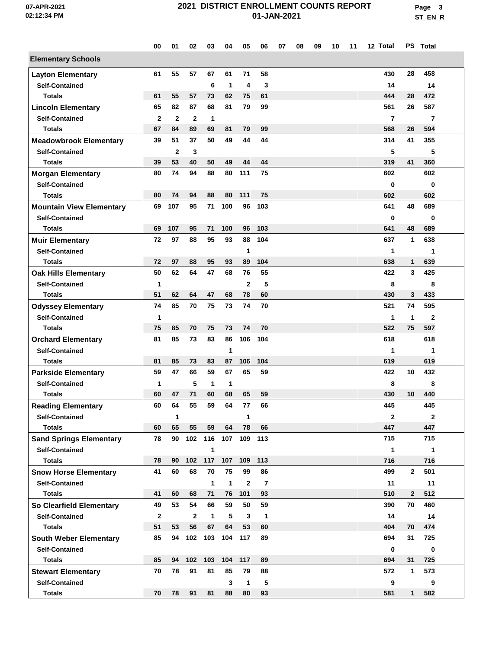**Page 3 ST\_EN\_R**

|                                 | 00           | 01           | 02           | 03                  | 04           | 05             | 06             | 07 | 08 | 09 | 10 | 11 | 12 Total       |              | PS Total       |  |
|---------------------------------|--------------|--------------|--------------|---------------------|--------------|----------------|----------------|----|----|----|----|----|----------------|--------------|----------------|--|
| <b>Elementary Schools</b>       |              |              |              |                     |              |                |                |    |    |    |    |    |                |              |                |  |
| <b>Layton Elementary</b>        | 61           | 55           | 57           | 67                  | 61           | 71             | 58             |    |    |    |    |    | 430            | 28           | 458            |  |
| <b>Self-Contained</b>           |              |              |              | 6                   | $\mathbf{1}$ | 4              | 3              |    |    |    |    |    | 14             |              | 14             |  |
| <b>Totals</b>                   | 61           | 55           | 57           | 73                  | 62           | 75             | 61             |    |    |    |    |    | 444            | 28           | 472            |  |
| <b>Lincoln Elementary</b>       | 65           | 82           | 87           | 68                  | 81           | 79             | 99             |    |    |    |    |    | 561            | 26           | 587            |  |
| <b>Self-Contained</b>           | $\mathbf{2}$ | $\mathbf{2}$ | $\mathbf{2}$ | 1                   |              |                |                |    |    |    |    |    | $\overline{7}$ |              | $\overline{7}$ |  |
| <b>Totals</b>                   | 67           | 84           | 89           | 69                  | 81           | 79             | 99             |    |    |    |    |    | 568            | 26           | 594            |  |
| <b>Meadowbrook Elementary</b>   | 39           | 51           | 37           | 50                  | 49           | 44             | 44             |    |    |    |    |    | 314            | 41           | 355            |  |
| <b>Self-Contained</b>           |              | $\mathbf{2}$ | 3            |                     |              |                |                |    |    |    |    |    | 5              |              | 5              |  |
| <b>Totals</b>                   | 39           | 53           | 40           | 50                  | 49           | 44             | 44             |    |    |    |    |    | 319            | 41           | 360            |  |
| <b>Morgan Elementary</b>        | 80           | 74           | 94           | 88                  | 80           | 111            | 75             |    |    |    |    |    | 602            |              | 602            |  |
| <b>Self-Contained</b>           |              |              |              |                     |              |                |                |    |    |    |    |    | $\bf{0}$       |              | 0              |  |
| <b>Totals</b>                   | 80           | 74           | 94           | 88                  | 80           | 111            | 75             |    |    |    |    |    | 602            |              | 602            |  |
| <b>Mountain View Elementary</b> | 69           | 107          | 95           | 71                  | 100          | 96             | 103            |    |    |    |    |    | 641            | 48           | 689            |  |
| <b>Self-Contained</b>           |              |              |              |                     |              |                |                |    |    |    |    |    | 0              |              | 0              |  |
| <b>Totals</b>                   | 69           | 107          | 95           | 71                  | 100          | 96             | 103            |    |    |    |    |    | 641            | 48           | 689            |  |
| <b>Muir Elementary</b>          | 72           | 97           | 88           | 95                  | 93           | 88             | 104            |    |    |    |    |    | 637            | 1            | 638            |  |
| <b>Self-Contained</b>           |              |              |              |                     |              | 1              |                |    |    |    |    |    | 1              |              | 1              |  |
| Totals                          | 72           | 97           | 88           | 95                  | 93           | 89             | 104            |    |    |    |    |    | 638            | 1            | 639            |  |
| <b>Oak Hills Elementary</b>     | 50           | 62           | 64           | 47                  | 68           | 76             | 55             |    |    |    |    |    | 422            | 3            | 425            |  |
| <b>Self-Contained</b>           | 1            |              |              |                     |              | $\mathbf{2}$   | 5              |    |    |    |    |    | 8              |              | 8              |  |
| <b>Totals</b>                   | 51           | 62           | 64           | 47                  | 68           | 78             | 60             |    |    |    |    |    | 430            | 3            | 433            |  |
| <b>Odyssey Elementary</b>       | 74           | 85           | 70           | 75                  | 73           | 74             | 70             |    |    |    |    |    | 521            | 74           | 595            |  |
| <b>Self-Contained</b>           | 1            |              |              |                     |              |                |                |    |    |    |    |    | 1              | 1            | $\overline{2}$ |  |
| <b>Totals</b>                   | 75           | 85           | 70           | 75                  | 73           | 74             | 70             |    |    |    |    |    | 522            | 75           | 597            |  |
| <b>Orchard Elementary</b>       | 81           | 85           | 73           | 83                  | 86           | 106            | 104            |    |    |    |    |    | 618            |              | 618            |  |
| <b>Self-Contained</b>           |              |              |              |                     | $\mathbf{1}$ |                |                |    |    |    |    |    | 1              |              | 1              |  |
| Totals                          | 81           | 85           | 73           | 83                  | 87           | 106            | 104            |    |    |    |    |    | 619            |              | 619            |  |
| <b>Parkside Elementary</b>      | 59           | 47           | 66           | 59                  | 67           | 65             | 59             |    |    |    |    |    | 422            | 10           | 432            |  |
| <b>Self-Contained</b>           | 1            |              | 5            | 1                   | 1            |                |                |    |    |    |    |    | 8              |              | 8              |  |
| <b>Totals</b>                   | 60           | 47           | 71           | 60                  | 68           | 65             | 59             |    |    |    |    |    | 430            | 10           | 440            |  |
| <b>Reading Elementary</b>       | 60           | 64           | 55           | 59                  | 64           | 77             | 66             |    |    |    |    |    | 445            |              | 445            |  |
| <b>Self-Contained</b>           |              | 1            |              |                     |              | 1              |                |    |    |    |    |    | $\mathbf{2}$   |              | $\mathbf{2}$   |  |
| <b>Totals</b>                   | 60           | 65           | 55           | 59                  | 64           | 78             | 66             |    |    |    |    |    | 447            |              | 447            |  |
| <b>Sand Springs Elementary</b>  | 78           | 90           |              | 102 116 107 109 113 |              |                |                |    |    |    |    |    | 715            |              | 715            |  |
| <b>Self-Contained</b>           |              |              |              | 1                   |              |                |                |    |    |    |    |    | $\mathbf{1}$   |              | 1              |  |
| <b>Totals</b>                   | 78           | 90           | 102          | 117                 | 107          | 109            | 113            |    |    |    |    |    | 716            |              | 716            |  |
| <b>Snow Horse Elementary</b>    | 41           | 60           | 68           | 70                  | 75           | 99             | 86             |    |    |    |    |    | 499            | $\mathbf{2}$ | 501            |  |
| <b>Self-Contained</b>           |              |              |              | $\mathbf{1}$        | $\mathbf{1}$ | $\overline{2}$ | $\overline{7}$ |    |    |    |    |    | 11             |              | 11             |  |
| <b>Totals</b>                   | 41           | 60           | 68           | 71                  | 76           | 101            | 93             |    |    |    |    |    | 510            | $\mathbf{2}$ | 512            |  |
| So Clearfield Elementary        | 49           | 53           | 54           | 66                  | 59           | 50             | 59             |    |    |    |    |    | 390            | 70           | 460            |  |
| <b>Self-Contained</b>           | $\mathbf{2}$ |              | $\mathbf{2}$ | $\mathbf{1}$        | 5            | 3              | $\mathbf{1}$   |    |    |    |    |    | 14             |              | 14             |  |
| <b>Totals</b>                   | 51           | 53           | 56           | 67                  | 64           | 53             | 60             |    |    |    |    |    | 404            | 70           | 474            |  |
| <b>South Weber Elementary</b>   | 85           | 94           | 102          | 103                 | 104          | 117            | 89             |    |    |    |    |    | 694            | 31           | 725            |  |
| <b>Self-Contained</b>           |              |              |              |                     |              |                |                |    |    |    |    |    | 0              |              | 0              |  |
| <b>Totals</b>                   | 85           | 94           | 102          | 103                 | 104          | 117            | 89             |    |    |    |    |    | 694            | 31           | 725            |  |
| <b>Stewart Elementary</b>       | 70           | 78           | 91           | 81                  | 85           | 79             | 88             |    |    |    |    |    | 572            | $\mathbf{1}$ | 573            |  |
| <b>Self-Contained</b>           |              |              |              |                     | 3            | 1              | 5              |    |    |    |    |    | 9              |              | 9              |  |
| <b>Totals</b>                   | 70           | 78           | 91           | 81                  | 88           | 80             | 93             |    |    |    |    |    | 581            | $\mathbf{1}$ | 582            |  |
|                                 |              |              |              |                     |              |                |                |    |    |    |    |    |                |              |                |  |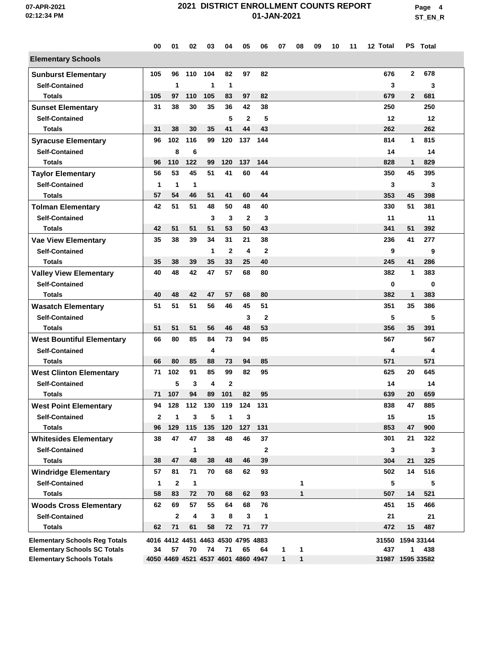**Page 4 ST\_EN\_R**

|                                      | 00           | 01           | 02           | 03  | 04                                 | 05           | 06           | 07           | 08           | 09 | 10 | 11 | 12 Total         |              | PS Total |  |
|--------------------------------------|--------------|--------------|--------------|-----|------------------------------------|--------------|--------------|--------------|--------------|----|----|----|------------------|--------------|----------|--|
| <b>Elementary Schools</b>            |              |              |              |     |                                    |              |              |              |              |    |    |    |                  |              |          |  |
| <b>Sunburst Elementary</b>           | 105          | 96           | 110          | 104 | 82                                 | 97           | 82           |              |              |    |    |    | 676              | $\mathbf{2}$ | 678      |  |
| <b>Self-Contained</b>                |              | 1            |              | 1   | 1                                  |              |              |              |              |    |    |    | 3                |              | 3        |  |
| <b>Totals</b>                        | 105          | 97           | 110          | 105 | 83                                 | 97           | 82           |              |              |    |    |    | 679              | $\mathbf{2}$ | 681      |  |
| <b>Sunset Elementary</b>             | 31           | 38           | 30           | 35  | 36                                 | 42           | 38           |              |              |    |    |    | 250              |              | 250      |  |
| <b>Self-Contained</b>                |              |              |              |     | 5                                  | $\mathbf{2}$ | 5            |              |              |    |    |    | 12               |              | 12       |  |
| <b>Totals</b>                        | 31           | 38           | 30           | 35  | 41                                 | 44           | 43           |              |              |    |    |    | 262              |              | 262      |  |
| <b>Syracuse Elementary</b>           | 96           | 102          | 116          | 99  | 120                                | 137          | 144          |              |              |    |    |    | 814              | 1            | 815      |  |
| <b>Self-Contained</b>                |              | 8            | 6            |     |                                    |              |              |              |              |    |    |    | 14               |              | 14       |  |
| <b>Totals</b>                        | 96           | 110          | 122          | 99  | 120                                | 137          | 144          |              |              |    |    |    | 828              | $\mathbf{1}$ | 829      |  |
| <b>Taylor Elementary</b>             | 56           | 53           | 45           | 51  | 41                                 | 60           | 44           |              |              |    |    |    | 350              | 45           | 395      |  |
| <b>Self-Contained</b>                | 1            | $\mathbf{1}$ | 1            |     |                                    |              |              |              |              |    |    |    | 3                |              | 3        |  |
| <b>Totals</b>                        | 57           | 54           | 46           | 51  | 41                                 | 60           | 44           |              |              |    |    |    | 353              | 45           | 398      |  |
| <b>Tolman Elementary</b>             | 42           | 51           | 51           | 48  | 50                                 | 48           | 40           |              |              |    |    |    | 330              | 51           | 381      |  |
| <b>Self-Contained</b>                |              |              |              | 3   | 3                                  | $\mathbf{2}$ | 3            |              |              |    |    |    | 11               |              | 11       |  |
| <b>Totals</b>                        | 42           | 51           | 51           | 51  | 53                                 | 50           | 43           |              |              |    |    |    | 341              | 51           | 392      |  |
| <b>Vae View Elementary</b>           | 35           | 38           | 39           | 34  | 31                                 | 21           | 38           |              |              |    |    |    | 236              | 41           | 277      |  |
| <b>Self-Contained</b>                |              |              |              | 1   | $\mathbf{2}$                       | 4            | $\mathbf{2}$ |              |              |    |    |    | 9                |              | 9        |  |
| <b>Totals</b>                        | 35           | 38           | 39           | 35  | 33                                 | 25           | 40           |              |              |    |    |    | 245              | 41           | 286      |  |
| <b>Valley View Elementary</b>        | 40           | 48           | 42           | 47  | 57                                 | 68           | 80           |              |              |    |    |    | 382              | 1            | 383      |  |
| <b>Self-Contained</b>                |              |              |              |     |                                    |              |              |              |              |    |    |    | 0                |              | 0        |  |
| <b>Totals</b>                        | 40           | 48           | 42           | 47  | 57                                 | 68           | 80           |              |              |    |    |    | 382              | 1            | 383      |  |
| <b>Wasatch Elementary</b>            | 51           | 51           | 51           | 56  | 46                                 | 45           | 51           |              |              |    |    |    | 351              | 35           | 386      |  |
| <b>Self-Contained</b>                |              |              |              |     |                                    | 3            | $\mathbf{2}$ |              |              |    |    |    | 5                |              | 5        |  |
| <b>Totals</b>                        | 51           | 51           | 51           | 56  | 46                                 | 48           | 53           |              |              |    |    |    | 356              | 35           | 391      |  |
| <b>West Bountiful Elementary</b>     | 66           | 80           | 85           | 84  | 73                                 | 94           | 85           |              |              |    |    |    | 567              |              | 567      |  |
| <b>Self-Contained</b>                |              |              |              | 4   |                                    |              |              |              |              |    |    |    | 4                |              | 4        |  |
| <b>Totals</b>                        | 66           | 80           | 85           | 88  | 73                                 | 94           | 85           |              |              |    |    |    | 571              |              | 571      |  |
| <b>West Clinton Elementary</b>       | 71           | 102          | 91           | 85  | 99                                 | 82           | 95           |              |              |    |    |    | 625              | 20           | 645      |  |
| <b>Self-Contained</b>                |              | 5            | 3            | 4   | $\mathbf 2$                        |              |              |              |              |    |    |    | 14               |              | 14       |  |
| <b>Totals</b>                        | 71           | 107          | 94           | 89  | 101                                | 82           | 95           |              |              |    |    |    | 639              | 20           | 659      |  |
| <b>West Point Elementary</b>         | 94           | 128          | 112          | 130 | 119                                | 124          | 131          |              |              |    |    |    | 838              | 47           | 885      |  |
| <b>Self-Contained</b>                | $\mathbf{2}$ | 1            | 3            | 5   | 1                                  | 3            |              |              |              |    |    |    | 15               |              | 15       |  |
| <b>Totals</b>                        | 96           | 129          | 115          | 135 | 120                                | 127          | 131          |              |              |    |    |    | 853              | 47           | 900      |  |
| <b>Whitesides Elementary</b>         | 38           | 47           | 47           | 38  | 48                                 | 46           | 37           |              |              |    |    |    | 301              | 21           | 322      |  |
| <b>Self-Contained</b>                |              |              | 1            |     |                                    |              | $\mathbf 2$  |              |              |    |    |    | 3                |              | 3        |  |
| <b>Totals</b>                        | 38           | 47           | 48           | 38  | 48                                 | 46           | 39           |              |              |    |    |    | 304              | 21           | 325      |  |
| <b>Windridge Elementary</b>          | 57           | 81           | 71           | 70  | 68                                 | 62           | 93           |              |              |    |    |    | 502              | 14           | 516      |  |
| <b>Self-Contained</b>                | $\mathbf{1}$ | $\mathbf{2}$ | $\mathbf{1}$ |     |                                    |              |              |              | 1            |    |    |    | 5                |              | 5        |  |
| <b>Totals</b>                        | 58           | 83           | 72           | 70  | 68                                 | 62           | 93           |              | $\mathbf{1}$ |    |    |    | 507              | 14           | 521      |  |
| <b>Woods Cross Elementary</b>        | 62           | 69           | 57           | 55  | 64                                 | 68           | 76           |              |              |    |    |    | 451              | 15           | 466      |  |
| <b>Self-Contained</b>                |              | $\mathbf{2}$ | 4            | 3   | 8                                  | 3            | $\mathbf{1}$ |              |              |    |    |    | 21               |              | 21       |  |
| <b>Totals</b>                        | 62           | 71           | 61           | 58  | 72                                 | 71           | 77           |              |              |    |    |    | 472              | 15           | 487      |  |
| <b>Elementary Schools Reg Totals</b> |              |              |              |     | 4016 4412 4451 4463 4530 4795 4883 |              |              |              |              |    |    |    | 31550 1594 33144 |              |          |  |
| <b>Elementary Schools SC Totals</b>  | 34           | 57           | 70           | 74  | 71                                 | 65           | 64           | 1            | 1            |    |    |    | 437              | 1            | 438      |  |
| <b>Elementary Schools Totals</b>     |              |              |              |     | 4050 4469 4521 4537 4601 4860 4947 |              |              | $\mathbf{1}$ | $\mathbf{1}$ |    |    |    | 31987 1595 33582 |              |          |  |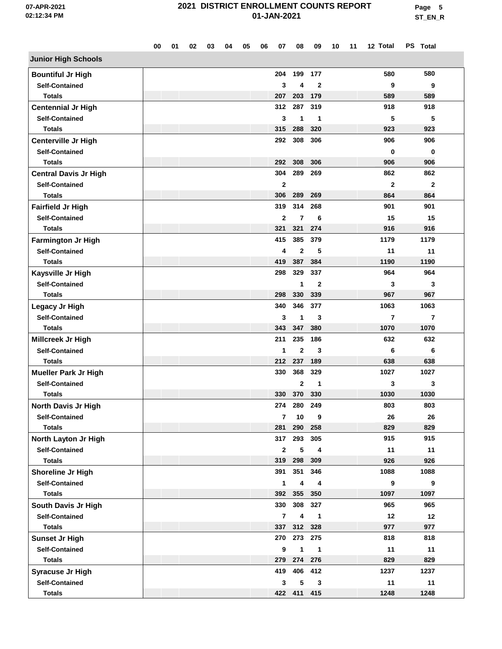**Page 5 ST\_EN\_R**

|                              | 00 | 01 | 02 | 03 | 04 | 05 | 06 | 07             | 08             | 09           | 10 | 11 | 12 Total       | PS Total     |  |
|------------------------------|----|----|----|----|----|----|----|----------------|----------------|--------------|----|----|----------------|--------------|--|
| <b>Junior High Schools</b>   |    |    |    |    |    |    |    |                |                |              |    |    |                |              |  |
| <b>Bountiful Jr High</b>     |    |    |    |    |    |    |    | 204            | 199            | 177          |    |    | 580            | 580          |  |
| <b>Self-Contained</b>        |    |    |    |    |    |    |    | 3              | 4              | $\mathbf{2}$ |    |    | 9              | 9            |  |
| <b>Totals</b>                |    |    |    |    |    |    |    | 207            | 203            | 179          |    |    | 589            | 589          |  |
| <b>Centennial Jr High</b>    |    |    |    |    |    |    |    | 312            | 287            | 319          |    |    | 918            | 918          |  |
| <b>Self-Contained</b>        |    |    |    |    |    |    |    | 3              | 1              | 1            |    |    | 5              | 5            |  |
| <b>Totals</b>                |    |    |    |    |    |    |    | 315            | 288            | 320          |    |    | 923            | 923          |  |
| Centerville Jr High          |    |    |    |    |    |    |    | 292            | 308            | 306          |    |    | 906            | 906          |  |
| <b>Self-Contained</b>        |    |    |    |    |    |    |    |                |                |              |    |    | 0              | 0            |  |
| <b>Totals</b>                |    |    |    |    |    |    |    | 292            | 308            | 306          |    |    | 906            | 906          |  |
| <b>Central Davis Jr High</b> |    |    |    |    |    |    |    | 304            | 289            | 269          |    |    | 862            | 862          |  |
| <b>Self-Contained</b>        |    |    |    |    |    |    |    | $\mathbf{2}$   |                |              |    |    | $\mathbf{2}$   | $\mathbf{2}$ |  |
| <b>Totals</b>                |    |    |    |    |    |    |    | 306            | 289            | 269          |    |    | 864            | 864          |  |
| <b>Fairfield Jr High</b>     |    |    |    |    |    |    |    | 319            | 314            | 268          |    |    | 901            | 901          |  |
| <b>Self-Contained</b>        |    |    |    |    |    |    |    | $\overline{2}$ | $\overline{7}$ | 6            |    |    | 15             | 15           |  |
| <b>Totals</b>                |    |    |    |    |    |    |    | 321            | 321            | 274          |    |    | 916            | 916          |  |
| <b>Farmington Jr High</b>    |    |    |    |    |    |    |    | 415            | 385            | 379          |    |    | 1179           | 1179         |  |
| <b>Self-Contained</b>        |    |    |    |    |    |    |    | 4              | $\mathbf 2$    | 5            |    |    | 11             | 11           |  |
| <b>Totals</b>                |    |    |    |    |    |    |    | 419            | 387            | 384          |    |    | 1190           | 1190         |  |
| Kaysville Jr High            |    |    |    |    |    |    |    | 298            | 329            | 337          |    |    | 964            | 964          |  |
| <b>Self-Contained</b>        |    |    |    |    |    |    |    |                | 1              | $\mathbf{2}$ |    |    | 3              | 3            |  |
| <b>Totals</b>                |    |    |    |    |    |    |    | 298            | 330            | 339          |    |    | 967            | 967          |  |
| Legacy Jr High               |    |    |    |    |    |    |    | 340            | 346            | 377          |    |    | 1063           | 1063         |  |
| <b>Self-Contained</b>        |    |    |    |    |    |    |    | 3              | 1              | 3            |    |    | $\overline{7}$ | 7            |  |
| <b>Totals</b>                |    |    |    |    |    |    |    | 343            | 347            | 380          |    |    | 1070           | 1070         |  |
| Millcreek Jr High            |    |    |    |    |    |    |    | 211            | 235            | 186          |    |    | 632            | 632          |  |
| <b>Self-Contained</b>        |    |    |    |    |    |    |    | 1              | $\overline{2}$ | 3            |    |    | 6              | 6            |  |
| <b>Totals</b>                |    |    |    |    |    |    |    |                | 212 237        | 189          |    |    | 638            | 638          |  |
| <b>Mueller Park Jr High</b>  |    |    |    |    |    |    |    | 330            | 368            | 329          |    |    | 1027           | 1027         |  |
| <b>Self-Contained</b>        |    |    |    |    |    |    |    |                | $\mathbf 2$    | 1            |    |    | 3              | 3            |  |
| <b>Totals</b>                |    |    |    |    |    |    |    | 330            | 370            | 330          |    |    | 1030           | 1030         |  |
| North Davis Jr High          |    |    |    |    |    |    |    | 274            | 280            | 249          |    |    | 803            | 803          |  |
| <b>Self-Contained</b>        |    |    |    |    |    |    |    | 7              | 10             | 9            |    |    | 26             | 26           |  |
| <b>Totals</b>                |    |    |    |    |    |    |    | 281            | 290            | 258          |    |    | 829            | 829          |  |
| North Layton Jr High         |    |    |    |    |    |    |    | 317            | 293            | 305          |    |    | 915            | 915          |  |
| <b>Self-Contained</b>        |    |    |    |    |    |    |    | $\mathbf{2}$   | 5              | 4            |    |    | 11             | 11           |  |
| <b>Totals</b>                |    |    |    |    |    |    |    | 319            | 298            | 309          |    |    | 926            | 926          |  |
| Shoreline Jr High            |    |    |    |    |    |    |    | 391            | 351            | 346          |    |    | 1088           | 1088         |  |
| <b>Self-Contained</b>        |    |    |    |    |    |    |    | $\mathbf{1}$   | 4              | 4            |    |    | 9              | 9            |  |
| <b>Totals</b>                |    |    |    |    |    |    |    |                | 392 355        | 350          |    |    | 1097           | 1097         |  |
| South Davis Jr High          |    |    |    |    |    |    |    | 330            | 308            | 327          |    |    | 965            | 965          |  |
| <b>Self-Contained</b>        |    |    |    |    |    |    |    | $\overline{7}$ | 4              | 1            |    |    | 12             | 12           |  |
| <b>Totals</b>                |    |    |    |    |    |    |    | 337            | 312            | 328          |    |    | 977            | 977          |  |
| <b>Sunset Jr High</b>        |    |    |    |    |    |    |    |                | 270 273        | 275          |    |    | 818            | 818          |  |
| <b>Self-Contained</b>        |    |    |    |    |    |    |    | 9              | 1              | $\mathbf{1}$ |    |    | 11             | 11           |  |
| <b>Totals</b>                |    |    |    |    |    |    |    | 279            |                | 274 276      |    |    | 829            | 829          |  |
| <b>Syracuse Jr High</b>      |    |    |    |    |    |    |    | 419            | 406            | 412          |    |    | 1237           | 1237         |  |
| <b>Self-Contained</b>        |    |    |    |    |    |    |    | 3              | 5              | 3            |    |    | 11             | 11           |  |
| <b>Totals</b>                |    |    |    |    |    |    |    |                | 422 411 415    |              |    |    | 1248           | 1248         |  |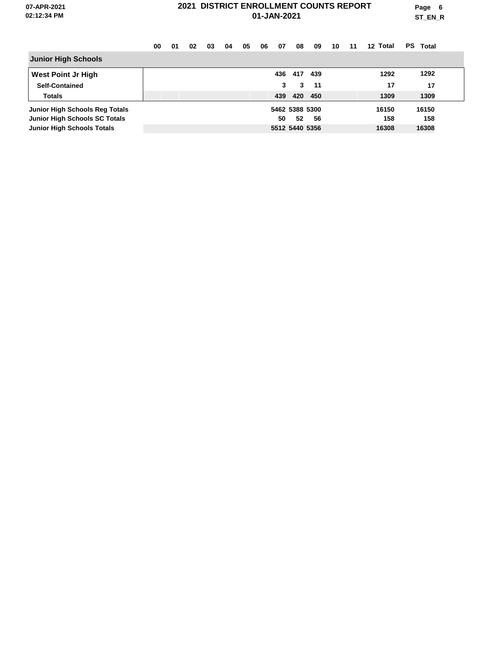**Page 6 ST\_EN\_R**

|                                   | 00 | 01 | 02 | 03 | 04 | 05 | 06 | 07  | 08             | 09  | 10 | 11 | 12 Total | PS Total |  |
|-----------------------------------|----|----|----|----|----|----|----|-----|----------------|-----|----|----|----------|----------|--|
| <b>Junior High Schools</b>        |    |    |    |    |    |    |    |     |                |     |    |    |          |          |  |
| <b>West Point Jr High</b>         |    |    |    |    |    |    |    | 436 | 417            | 439 |    |    | 1292     | 1292     |  |
| <b>Self-Contained</b>             |    |    |    |    |    |    |    | 3   | 3              | 11  |    |    | 17       | 17       |  |
| <b>Totals</b>                     |    |    |    |    |    |    |    | 439 | 420            | 450 |    |    | 1309     | 1309     |  |
| Junior High Schools Reg Totals    |    |    |    |    |    |    |    |     | 5462 5388 5300 |     |    |    | 16150    | 16150    |  |
| Junior High Schools SC Totals     |    |    |    |    |    |    |    | 50  | 52             | 56  |    |    | 158      | 158      |  |
| <b>Junior High Schools Totals</b> |    |    |    |    |    |    |    |     | 5512 5440 5356 |     |    |    | 16308    | 16308    |  |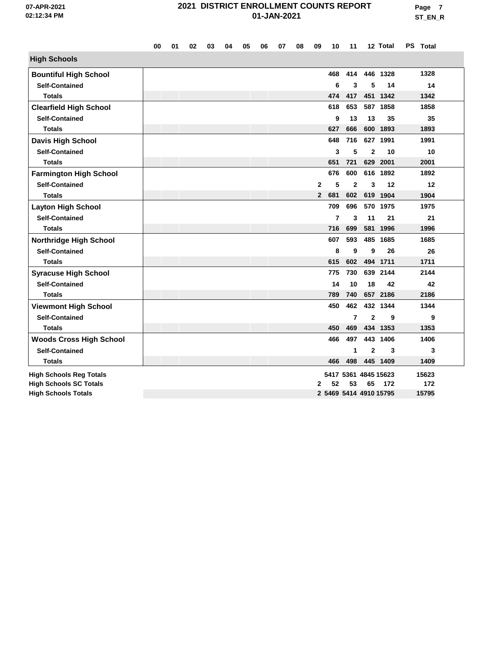|                                | 00 | 01 | 02 | 03 | 04 | 05 | 06 | 07 | 08 | 09           | 10             | 11             |                        | 12 Total             | PS Total |       |  |
|--------------------------------|----|----|----|----|----|----|----|----|----|--------------|----------------|----------------|------------------------|----------------------|----------|-------|--|
| <b>High Schools</b>            |    |    |    |    |    |    |    |    |    |              |                |                |                        |                      |          |       |  |
| <b>Bountiful High School</b>   |    |    |    |    |    |    |    |    |    |              | 468            | 414            |                        | 446 1328             |          | 1328  |  |
| <b>Self-Contained</b>          |    |    |    |    |    |    |    |    |    |              | 6              | 3              | 5                      | 14                   |          | 14    |  |
| <b>Totals</b>                  |    |    |    |    |    |    |    |    |    |              | 474            | 417            |                        | 451 1342             |          | 1342  |  |
| <b>Clearfield High School</b>  |    |    |    |    |    |    |    |    |    |              | 618            | 653            |                        | 587 1858             |          | 1858  |  |
| <b>Self-Contained</b>          |    |    |    |    |    |    |    |    |    |              | 9              | 13             | 13                     | 35                   |          | 35    |  |
| <b>Totals</b>                  |    |    |    |    |    |    |    |    |    |              | 627            | 666            |                        | 600 1893             |          | 1893  |  |
| <b>Davis High School</b>       |    |    |    |    |    |    |    |    |    |              | 648            | 716            |                        | 627 1991             |          | 1991  |  |
| <b>Self-Contained</b>          |    |    |    |    |    |    |    |    |    |              | 3              | 5              | $\mathbf{2}$           | 10                   |          | 10    |  |
| <b>Totals</b>                  |    |    |    |    |    |    |    |    |    |              | 651            | 721            | 629                    | 2001                 |          | 2001  |  |
| <b>Farmington High School</b>  |    |    |    |    |    |    |    |    |    |              | 676            | 600            |                        | 616 1892             |          | 1892  |  |
| <b>Self-Contained</b>          |    |    |    |    |    |    |    |    |    | $\mathbf{2}$ | 5              | $\overline{2}$ | 3                      | 12                   |          | 12    |  |
| <b>Totals</b>                  |    |    |    |    |    |    |    |    |    | $\mathbf{2}$ | 681            | 602            |                        | 619 1904             |          | 1904  |  |
| <b>Layton High School</b>      |    |    |    |    |    |    |    |    |    |              | 709            | 696            |                        | 570 1975             |          | 1975  |  |
| <b>Self-Contained</b>          |    |    |    |    |    |    |    |    |    |              | $\overline{7}$ | 3              | 11                     | 21                   |          | 21    |  |
| <b>Totals</b>                  |    |    |    |    |    |    |    |    |    |              | 716            | 699            |                        | 581 1996             |          | 1996  |  |
| <b>Northridge High School</b>  |    |    |    |    |    |    |    |    |    |              | 607            | 593            |                        | 485 1685             |          | 1685  |  |
| <b>Self-Contained</b>          |    |    |    |    |    |    |    |    |    |              | 8              | 9              | 9                      | 26                   |          | 26    |  |
| <b>Totals</b>                  |    |    |    |    |    |    |    |    |    |              | 615            | 602            |                        | 494 1711             |          | 1711  |  |
| <b>Syracuse High School</b>    |    |    |    |    |    |    |    |    |    |              | 775            | 730            |                        | 639 2144             |          | 2144  |  |
| <b>Self-Contained</b>          |    |    |    |    |    |    |    |    |    |              | 14             | 10             | 18                     | 42                   |          | 42    |  |
| <b>Totals</b>                  |    |    |    |    |    |    |    |    |    |              | 789            | 740            |                        | 657 2186             |          | 2186  |  |
| <b>Viewmont High School</b>    |    |    |    |    |    |    |    |    |    |              | 450            | 462            |                        | 432 1344             |          | 1344  |  |
| <b>Self-Contained</b>          |    |    |    |    |    |    |    |    |    |              |                | $\overline{7}$ | $\overline{2}$         | 9                    |          | 9     |  |
| <b>Totals</b>                  |    |    |    |    |    |    |    |    |    |              | 450            | 469            |                        | 434 1353             |          | 1353  |  |
| <b>Woods Cross High School</b> |    |    |    |    |    |    |    |    |    |              | 466            | 497            |                        | 443 1406             |          | 1406  |  |
| <b>Self-Contained</b>          |    |    |    |    |    |    |    |    |    |              |                | 1              | $\mathbf{2}$           | 3                    |          | 3     |  |
| <b>Totals</b>                  |    |    |    |    |    |    |    |    |    |              | 466            | 498            |                        | 445 1409             |          | 1409  |  |
| <b>High Schools Reg Totals</b> |    |    |    |    |    |    |    |    |    |              |                |                |                        | 5417 5361 4845 15623 |          | 15623 |  |
| <b>High Schools SC Totals</b>  |    |    |    |    |    |    |    |    |    | 2            | 52             | 53             | 65                     | 172                  |          | 172   |  |
| <b>High Schools Totals</b>     |    |    |    |    |    |    |    |    |    |              |                |                | 2 5469 5414 4910 15795 |                      |          | 15795 |  |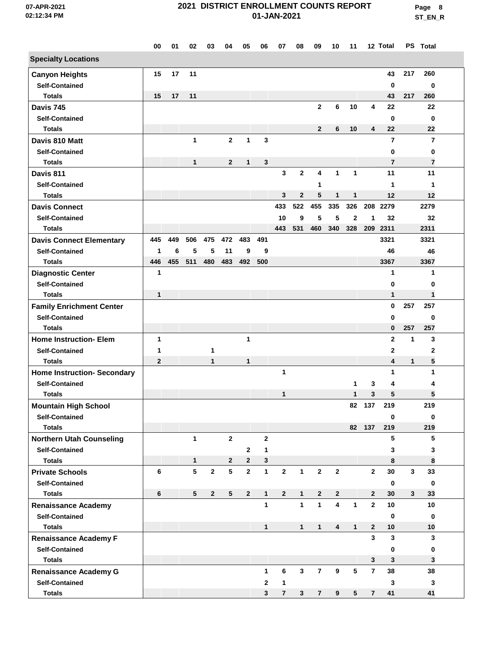**Page 8 ST\_EN\_R**

|                                    | 00             | 01  | 02              | 03             | 04              | 05             | 06           | 07             | 08           | 09             | 10                      | 11              |                | 12 Total       |              | PS Total       |  |
|------------------------------------|----------------|-----|-----------------|----------------|-----------------|----------------|--------------|----------------|--------------|----------------|-------------------------|-----------------|----------------|----------------|--------------|----------------|--|
| <b>Specialty Locations</b>         |                |     |                 |                |                 |                |              |                |              |                |                         |                 |                |                |              |                |  |
| <b>Canyon Heights</b>              | 15             | 17  | 11              |                |                 |                |              |                |              |                |                         |                 |                | 43             | 217          | 260            |  |
| <b>Self-Contained</b>              |                |     |                 |                |                 |                |              |                |              |                |                         |                 |                | 0              |              | $\mathbf 0$    |  |
| <b>Totals</b>                      | 15             | 17  | 11              |                |                 |                |              |                |              |                |                         |                 |                | 43             | 217          | 260            |  |
| Davis 745                          |                |     |                 |                |                 |                |              |                |              | $\mathbf{2}$   | 6                       | 10              | 4              | 22             |              | 22             |  |
| <b>Self-Contained</b>              |                |     |                 |                |                 |                |              |                |              |                |                         |                 |                | 0              |              | 0              |  |
| <b>Totals</b>                      |                |     |                 |                |                 |                |              |                |              | $\overline{2}$ | 6                       | 10              | 4              | 22             |              | 22             |  |
| Davis 810 Matt                     |                |     | $\mathbf{1}$    |                | $\mathbf{2}$    | 1              | 3            |                |              |                |                         |                 |                | $\overline{7}$ |              | $\overline{7}$ |  |
| <b>Self-Contained</b>              |                |     |                 |                |                 |                |              |                |              |                |                         |                 |                | 0              |              | 0              |  |
| <b>Totals</b>                      |                |     | 1               |                | $\mathbf{2}$    | 1              | 3            |                |              |                |                         |                 |                | $\overline{7}$ |              | 7              |  |
| Davis 811                          |                |     |                 |                |                 |                |              | $\mathbf{3}$   | $\mathbf{2}$ | 4              | 1                       | $\mathbf{1}$    |                | 11             |              | 11             |  |
| <b>Self-Contained</b>              |                |     |                 |                |                 |                |              |                |              | 1              |                         |                 |                | 1              |              | 1              |  |
| <b>Totals</b>                      |                |     |                 |                |                 |                |              | 3              | $\mathbf 2$  | 5              | 1                       | $\mathbf{1}$    |                | 12             |              | 12             |  |
| <b>Davis Connect</b>               |                |     |                 |                |                 |                |              | 433            | 522          | 455            | 335                     | 326             |                | 208 2279       |              | 2279           |  |
| <b>Self-Contained</b>              |                |     |                 |                |                 |                |              | 10             | 9            | 5              | 5                       | $\mathbf{2}$    | 1              | 32             |              | 32             |  |
| <b>Totals</b>                      |                |     |                 |                |                 |                |              | 443            | 531          | 460            | 340                     | 328             | 209            | 2311           |              | 2311           |  |
| <b>Davis Connect Elementary</b>    | 445            | 449 | 506             | 475            | 472             | 483            | 491          |                |              |                |                         |                 |                | 3321           |              | 3321           |  |
| <b>Self-Contained</b>              | 1              | 6   | 5               | 5              | 11              | 9              | 9            |                |              |                |                         |                 |                | 46             |              | 46             |  |
| <b>Totals</b>                      | 446            | 455 | 511             | 480            | 483             | 492            | 500          |                |              |                |                         |                 |                | 3367           |              | 3367           |  |
| <b>Diagnostic Center</b>           | 1              |     |                 |                |                 |                |              |                |              |                |                         |                 |                | 1              |              | 1              |  |
| <b>Self-Contained</b>              |                |     |                 |                |                 |                |              |                |              |                |                         |                 |                | 0              |              | 0              |  |
| <b>Totals</b>                      | $\mathbf{1}$   |     |                 |                |                 |                |              |                |              |                |                         |                 |                | 1              |              | 1              |  |
| <b>Family Enrichment Center</b>    |                |     |                 |                |                 |                |              |                |              |                |                         |                 |                | $\bf{0}$       | 257          | 257            |  |
| <b>Self-Contained</b>              |                |     |                 |                |                 |                |              |                |              |                |                         |                 |                | 0              |              | 0              |  |
| <b>Totals</b>                      |                |     |                 |                |                 |                |              |                |              |                |                         |                 |                | 0              | 257          | 257            |  |
| <b>Home Instruction- Elem</b>      | 1              |     |                 |                |                 | 1              |              |                |              |                |                         |                 |                | $\mathbf{2}$   | 1            | 3              |  |
| <b>Self-Contained</b>              | 1              |     |                 | 1              |                 |                |              |                |              |                |                         |                 |                | $\mathbf{2}$   |              | 2              |  |
| <b>Totals</b>                      | $\overline{2}$ |     |                 | 1              |                 | 1              |              |                |              |                |                         |                 |                | 4              | $\mathbf{1}$ | 5              |  |
| <b>Home Instruction- Secondary</b> |                |     |                 |                |                 |                |              | 1              |              |                |                         |                 |                | 1              |              | 1              |  |
| <b>Self-Contained</b>              |                |     |                 |                |                 |                |              |                |              |                |                         | 1               | 3              | 4              |              | 4              |  |
| <b>Totals</b>                      |                |     |                 |                |                 |                |              | 1              |              |                |                         | 1               | 3              | 5              |              | 5              |  |
| <b>Mountain High School</b>        |                |     |                 |                |                 |                |              |                |              |                |                         | 82              | 137            | 219            |              | 219            |  |
| <b>Self-Contained</b>              |                |     |                 |                |                 |                |              |                |              |                |                         |                 |                | $\bf{0}$       |              | 0              |  |
| <b>Totals</b>                      |                |     |                 |                |                 |                |              |                |              |                |                         |                 | 82 137         | 219            |              | 219            |  |
| <b>Northern Utah Counseling</b>    |                |     | $\mathbf{1}$    |                | $\mathbf{2}$    |                | $\mathbf{2}$ |                |              |                |                         |                 |                | 5              |              | 5              |  |
| <b>Self-Contained</b>              |                |     |                 |                |                 | 2              | $\mathbf{1}$ |                |              |                |                         |                 |                | 3              |              | 3              |  |
| <b>Totals</b>                      |                |     | $\mathbf{1}$    |                | $\mathbf{2}$    | $\mathbf{2}$   | 3            |                |              |                |                         |                 |                | 8              |              | 8              |  |
| <b>Private Schools</b>             | 6              |     | 5               | $\mathbf{2}$   | $5\phantom{.0}$ | $\mathbf{2}$   | $\mathbf 1$  | $\mathbf{2}$   | $\mathbf{1}$ | $\mathbf 2$    | $\mathbf{2}$            |                 | $\mathbf{2}$   | 30             | 3            | 33             |  |
| <b>Self-Contained</b>              |                |     |                 |                |                 |                |              |                |              |                |                         |                 |                | 0              |              | $\mathbf 0$    |  |
| <b>Totals</b>                      | 6              |     | $5\phantom{.0}$ | $\overline{2}$ | $5\phantom{.0}$ | $\overline{2}$ | 1            | $\mathbf{2}$   | $\mathbf 1$  | $\mathbf{2}$   | $\mathbf{2}$            |                 | $\mathbf{2}$   | 30             | $\mathbf{3}$ | 33             |  |
| <b>Renaissance Academy</b>         |                |     |                 |                |                 |                | 1            |                | $\mathbf{1}$ | $\mathbf{1}$   | $\overline{\mathbf{4}}$ | 1               | $\overline{2}$ | 10             |              | 10             |  |
| <b>Self-Contained</b>              |                |     |                 |                |                 |                |              |                |              |                |                         |                 |                | $\bf{0}$       |              | $\mathbf 0$    |  |
| <b>Totals</b>                      |                |     |                 |                |                 |                | 1            |                | $\mathbf{1}$ | $\mathbf{1}$   | 4                       | $\mathbf{1}$    | $\mathbf{2}$   | 10             |              | 10             |  |
| <b>Renaissance Academy F</b>       |                |     |                 |                |                 |                |              |                |              |                |                         |                 | 3              | 3              |              | 3              |  |
| <b>Self-Contained</b>              |                |     |                 |                |                 |                |              |                |              |                |                         |                 |                | 0              |              | 0              |  |
| <b>Totals</b>                      |                |     |                 |                |                 |                |              |                |              |                |                         |                 | 3              | 3              |              | 3              |  |
| <b>Renaissance Academy G</b>       |                |     |                 |                |                 |                | $\mathbf{1}$ | 6              | 3            | $\overline{7}$ | 9                       | $5\phantom{.0}$ | $\overline{7}$ | 38             |              | 38             |  |
| <b>Self-Contained</b>              |                |     |                 |                |                 |                | $\mathbf{2}$ | $\mathbf{1}$   |              |                |                         |                 |                | 3              |              | 3              |  |
| Totals                             |                |     |                 |                |                 |                | 3            | $\overline{7}$ | 3            | 7              | 9                       | 5               | $\overline{7}$ | 41             |              | 41             |  |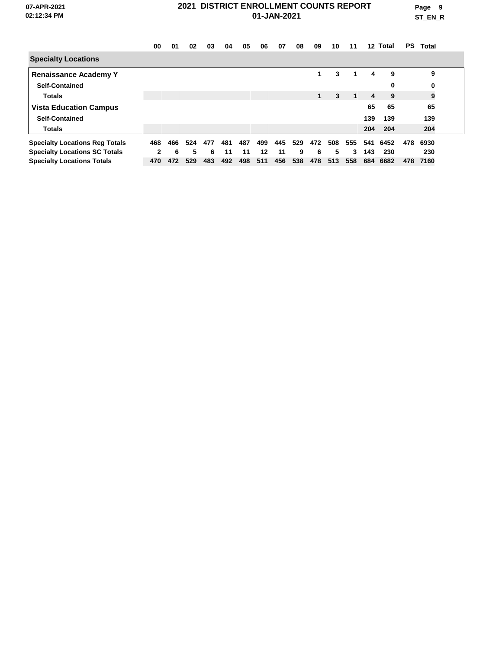**Page 9 ST\_EN\_R**

|                                       | 00           | 01  | 02  | 03  | 04  | 05  | 06  | 07  | 08  | 09  | 10  | 11  | 12 <sup>12</sup> | Total | <b>PS</b> | Total |  |
|---------------------------------------|--------------|-----|-----|-----|-----|-----|-----|-----|-----|-----|-----|-----|------------------|-------|-----------|-------|--|
| <b>Specialty Locations</b>            |              |     |     |     |     |     |     |     |     |     |     |     |                  |       |           |       |  |
| <b>Renaissance Academy Y</b>          |              |     |     |     |     |     |     |     |     | 1   | 3   | 1   | 4                | 9     |           | 9     |  |
| <b>Self-Contained</b>                 |              |     |     |     |     |     |     |     |     |     |     |     |                  | 0     |           | 0     |  |
| <b>Totals</b>                         |              |     |     |     |     |     |     |     |     | 1   | 3   | 1   | 4                | 9     |           | 9     |  |
| <b>Vista Education Campus</b>         |              |     |     |     |     |     |     |     |     |     |     |     | 65               | 65    |           | 65    |  |
| <b>Self-Contained</b>                 |              |     |     |     |     |     |     |     |     |     |     |     | 139              | 139   |           | 139   |  |
| <b>Totals</b>                         |              |     |     |     |     |     |     |     |     |     |     |     | 204              | 204   |           | 204   |  |
| <b>Specialty Locations Reg Totals</b> | 468          | 466 | 524 | 477 | 481 | 487 | 499 | 445 | 529 | 472 | 508 | 555 | 541              | 6452  | 478       | 6930  |  |
| <b>Specialty Locations SC Totals</b>  | $\mathbf{2}$ | 6   | 5.  | 6   | 11  | 11  | 12  | 11  | 9   | 6   | 5   | 3   | 143              | 230   |           | 230   |  |
| <b>Specialty Locations Totals</b>     | 470          | 472 | 529 | 483 | 492 | 498 | 511 | 456 | 538 | 478 | 513 | 558 | 684              | 6682  | 478       | 7160  |  |